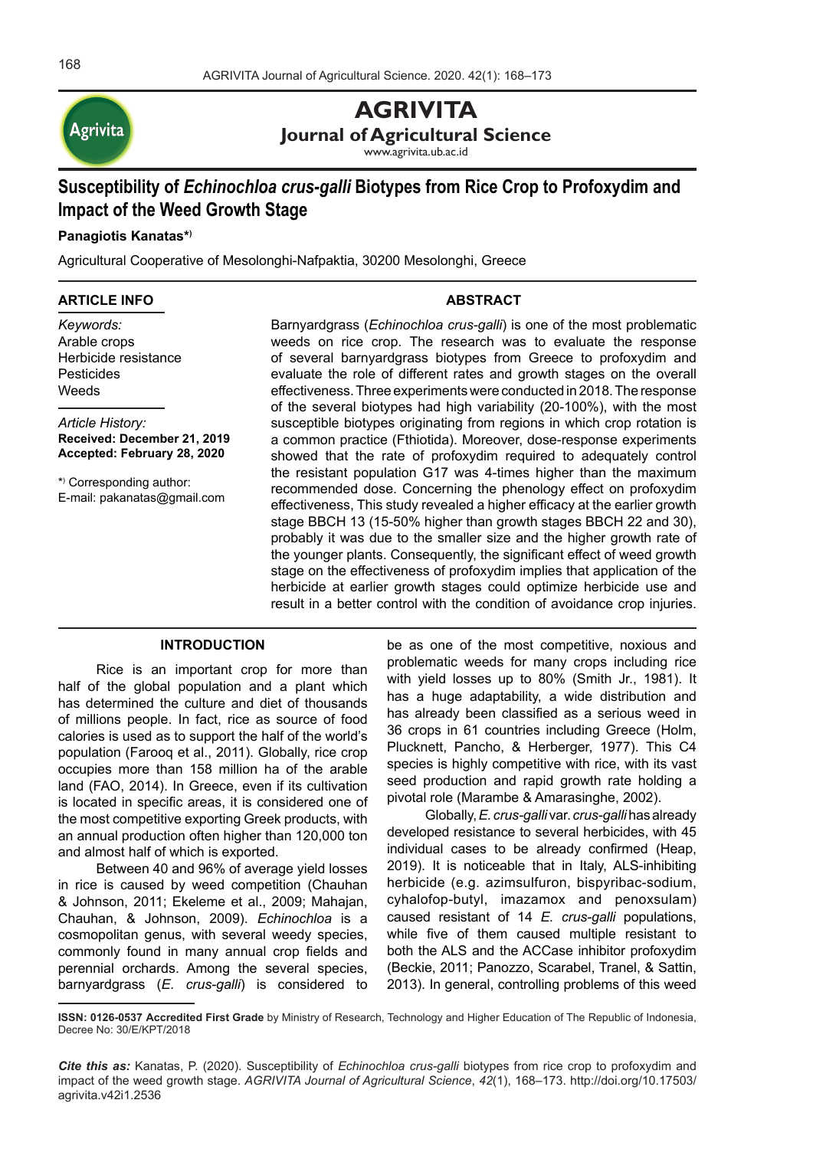

# **AGRIVITA Journal of Agricultural Science**

www.agrivita.ub.ac.id

# **Susceptibility of** *Echinochloa crus-galli* **Biotypes from Rice Crop to Profoxydim and Impact of the Weed Growth Stage**

# **Panagiotis Kanatas\*)**

Agricultural Cooperative of Mesolonghi-Nafpaktia, 30200 Mesolonghi, Greece

#### **ARTICLE INFO**

*Keywords:* Arable crops Herbicide resistance Pesticides Weeds

*Article History:* **Received: December 21, 2019 Accepted: February 28, 2020**

\*) Corresponding author: E-mail: pakanatas@gmail.com

# **ABSTRACT**

Barnyardgrass (*Echinochloa crus-galli*) is one of the most problematic weeds on rice crop. The research was to evaluate the response of several barnyardgrass biotypes from Greece to profoxydim and evaluate the role of different rates and growth stages on the overall effectiveness. Three experiments were conducted in 2018. The response of the several biotypes had high variability (20-100%), with the most susceptible biotypes originating from regions in which crop rotation is a common practice (Fthiotida). Moreover, dose-response experiments showed that the rate of profoxydim required to adequately control the resistant population G17 was 4-times higher than the maximum recommended dose. Concerning the phenology effect on profoxydim effectiveness, This study revealed a higher efficacy at the earlier growth stage BBCH 13 (15-50% higher than growth stages BBCH 22 and 30), probably it was due to the smaller size and the higher growth rate of the younger plants. Consequently, the significant effect of weed growth stage on the effectiveness of profoxydim implies that application of the herbicide at earlier growth stages could optimize herbicide use and result in a better control with the condition of avoidance crop injuries.

## **INTRODUCTION**

Rice is an important crop for more than half of the global population and a plant which has determined the culture and diet of thousands of millions people. In fact, rice as source of food calories is used as to support the half of the world's population (Farooq et al., 2011). Globally, rice crop occupies more than 158 million ha of the arable land (FAO, 2014). In Greece, even if its cultivation is located in specific areas, it is considered one of the most competitive exporting Greek products, with an annual production often higher than 120,000 ton and almost half of which is exported.

Between 40 and 96% of average yield losses in rice is caused by weed competition (Chauhan & Johnson, 2011; Ekeleme et al., 2009; Mahajan, Chauhan, & Johnson, 2009). *Echinochloa* is a cosmopolitan genus, with several weedy species, commonly found in many annual crop fields and perennial orchards. Among the several species, barnyardgrass (*E. crus-galli*) is considered to be as one of the most competitive, noxious and problematic weeds for many crops including rice with yield losses up to 80% (Smith Jr., 1981). It has a huge adaptability, a wide distribution and has already been classified as a serious weed in 36 crops in 61 countries including Greece (Holm, Plucknett, Pancho, & Herberger, 1977). This C4 species is highly competitive with rice, with its vast seed production and rapid growth rate holding a pivotal role (Marambe & Amarasinghe, 2002).

Globally, *E. crus-galli* var. *crus-galli* has already developed resistance to several herbicides, with 45 individual cases to be already confirmed (Heap, 2019). It is noticeable that in Italy, ALS-inhibiting herbicide (e.g. azimsulfuron, bispyribac-sodium, cyhalofop-butyl, imazamox and penoxsulam) caused resistant of 14 *E. crus-galli* populations, while five of them caused multiple resistant to both the ALS and the ACCase inhibitor profoxydim (Beckie, 2011; Panozzo, Scarabel, Tranel, & Sattin, 2013). In general, controlling problems of this weed

*Cite this as:* Kanatas, P. (2020). Susceptibility of *Echinochloa crus-galli* biotypes from rice crop to profoxydim and impact of the weed growth stage. *AGRIVITA Journal of Agricultural Science*, *42*(1), 168–173. http://doi.org/10.17503/ agrivita.v42i1.2536

**ISSN: 0126-0537 Accredited First Grade** by Ministry of Research, Technology and Higher Education of The Republic of Indonesia, Decree No: 30/E/KPT/2018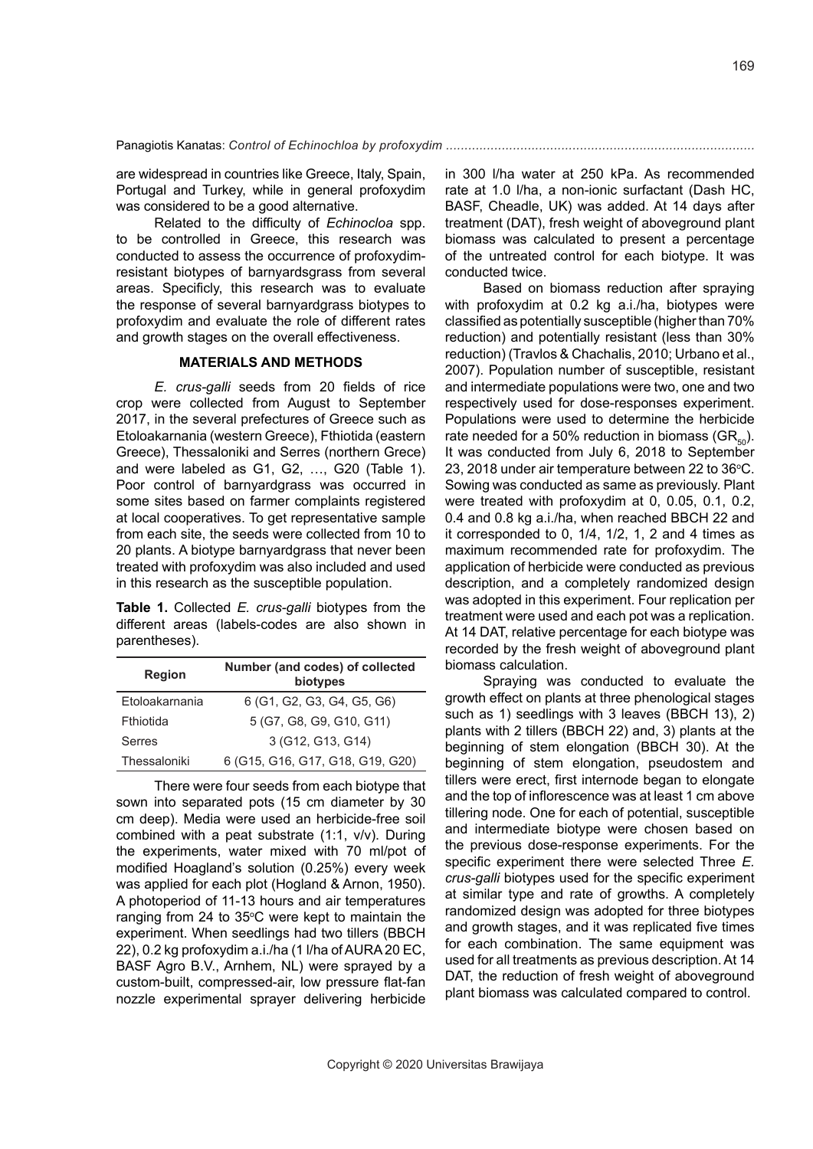are widespread in countries like Greece, Italy, Spain, Portugal and Turkey, while in general profoxydim was considered to be a good alternative.

Related to the difficulty of *Echinocloa* spp. to be controlled in Greece, this research was conducted to assess the occurrence of profoxydimresistant biotypes of barnyardsgrass from several areas. Specificly, this research was to evaluate the response of several barnyardgrass biotypes to profoxydim and evaluate the role of different rates and growth stages on the overall effectiveness.

#### **MATERIALS AND METHODS**

*E. crus-galli* seeds from 20 fields of rice crop were collected from August to September 2017, in the several prefectures of Greece such as Etoloakarnania (western Greece), Fthiotida (eastern Greece), Thessaloniki and Serres (northern Grece) and were labeled as G1, G2, …, G20 (Table 1). Poor control of barnyardgrass was occurred in some sites based on farmer complaints registered at local cooperatives. To get representative sample from each site, the seeds were collected from 10 to 20 plants. A biotype barnyardgrass that never been treated with profoxydim was also included and used in this research as the susceptible population.

**Table 1.** Collected *E. crus-galli* biotypes from the different areas (labels-codes are also shown in parentheses).

| <b>Region</b>  | Number (and codes) of collected<br>biotypes |  |  |
|----------------|---------------------------------------------|--|--|
| Etoloakarnania | 6 (G1, G2, G3, G4, G5, G6)                  |  |  |
| Fthiotida      | 5 (G7, G8, G9, G10, G11)                    |  |  |
| Serres         | 3 (G12, G13, G14)                           |  |  |
| Thessaloniki   | 6 (G15, G16, G17, G18, G19, G20)            |  |  |

There were four seeds from each biotype that sown into separated pots (15 cm diameter by 30 cm deep). Media were used an herbicide-free soil combined with a peat substrate (1:1, v/v). During the experiments, water mixed with 70 ml/pot of modified Hoagland's solution (0.25%) every week was applied for each plot (Hogland & Arnon, 1950). A photoperiod of 11-13 hours and air temperatures ranging from 24 to  $35^{\circ}$ C were kept to maintain the experiment. When seedlings had two tillers (BBCH 22), 0.2 kg profoxydim a.i./ha (1 l/ha of AURA 20 EC, BASF Agro B.V., Arnhem, NL) were sprayed by a custom-built, compressed-air, low pressure flat-fan nozzle experimental sprayer delivering herbicide

in 300 l/ha water at 250 kPa. As recommended rate at 1.0 l/ha, a non-ionic surfactant (Dash HC, BASF, Cheadle, UK) was added. At 14 days after treatment (DAT), fresh weight of aboveground plant biomass was calculated to present a percentage of the untreated control for each biotype. It was conducted twice.

Based on biomass reduction after spraying with profoxydim at 0.2 kg a.i./ha, biotypes were classified as potentially susceptible (higher than 70% reduction) and potentially resistant (less than 30% reduction) (Travlos & Chachalis, 2010; Urbano et al., 2007). Population number of susceptible, resistant and intermediate populations were two, one and two respectively used for dose-responses experiment. Populations were used to determine the herbicide rate needed for a 50% reduction in biomass ( $GR<sub>so</sub>$ ). It was conducted from July 6, 2018 to September 23, 2018 under air temperature between 22 to  $36^{\circ}$ C. Sowing was conducted as same as previously. Plant were treated with profoxydim at 0, 0.05, 0.1, 0.2, 0.4 and 0.8 kg a.i./ha, when reached BBCH 22 and it corresponded to 0, 1/4, 1/2, 1, 2 and 4 times as maximum recommended rate for profoxydim. The application of herbicide were conducted as previous description, and a completely randomized design was adopted in this experiment. Four replication per treatment were used and each pot was a replication. At 14 DAT, relative percentage for each biotype was recorded by the fresh weight of aboveground plant biomass calculation.

Spraying was conducted to evaluate the growth effect on plants at three phenological stages such as 1) seedlings with 3 leaves (BBCH 13), 2) plants with 2 tillers (BBCH 22) and, 3) plants at the beginning of stem elongation (BBCH 30). At the beginning of stem elongation, pseudostem and tillers were erect, first internode began to elongate and the top of inflorescence was at least 1 cm above tillering node. One for each of potential, susceptible and intermediate biotype were chosen based on the previous dose-response experiments. For the specific experiment there were selected Three *E. crus-galli* biotypes used for the specific experiment at similar type and rate of growths. A completely randomized design was adopted for three biotypes and growth stages, and it was replicated five times for each combination. The same equipment was used for all treatments as previous description. At 14 DAT, the reduction of fresh weight of aboveground plant biomass was calculated compared to control.

169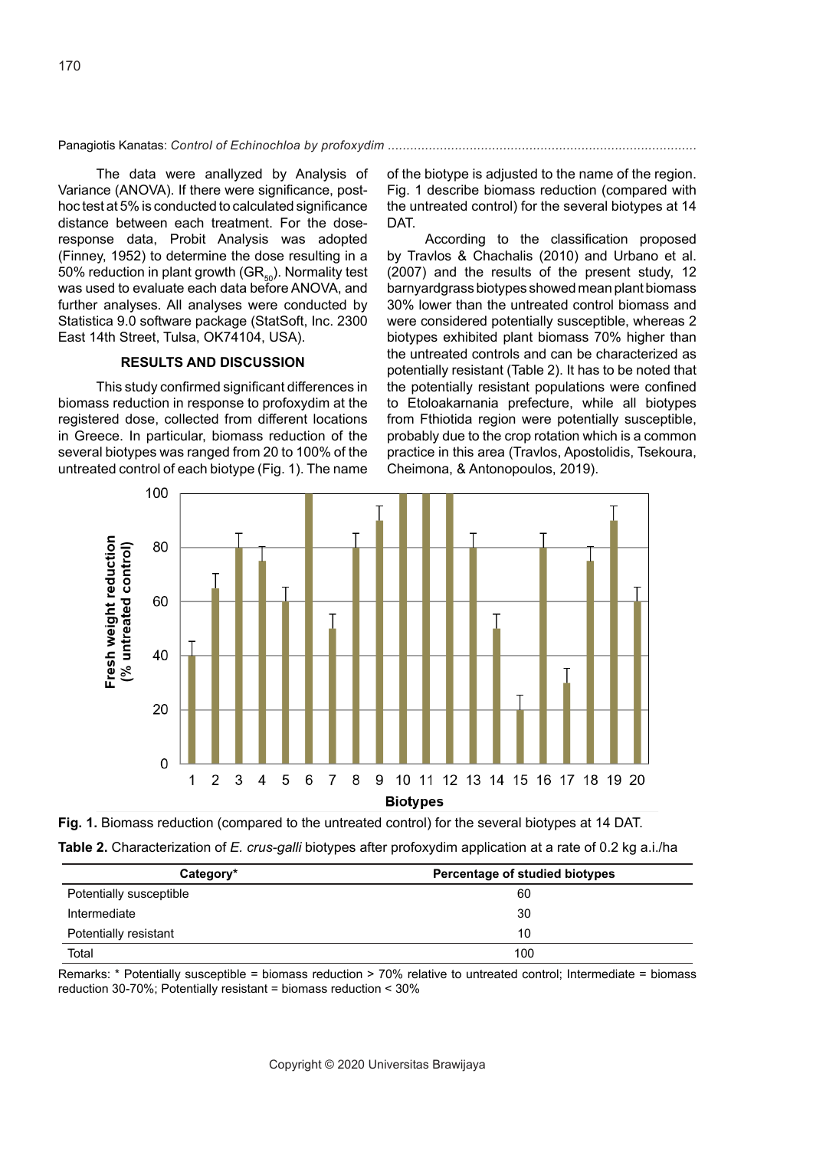The data were anallyzed by Analysis of Variance (ANOVA). If there were significance, posthoc test at 5% is conducted to calculated significance distance between each treatment. For the doseresponse data, Probit Analysis was adopted (Finney, 1952) to determine the dose resulting in a 50% reduction in plant growth ( $GR_{50}$ ). Normality test was used to evaluate each data before ANOVA, and further analyses. All analyses were conducted by Statistica 9.0 software package (StatSoft, Inc. 2300 East 14th Street, Tulsa, OK74104, USA).

## **RESULTS AND DISCUSSION**

This study confirmed significant differences in biomass reduction in response to profoxydim at the registered dose, collected from different locations in Greece. In particular, biomass reduction of the several biotypes was ranged from 20 to 100% of the untreated control of each biotype (Fig. 1). The name of the biotype is adjusted to the name of the region. Fig. 1 describe biomass reduction (compared with the untreated control) for the several biotypes at 14 DAT.

According to the classification proposed by Travlos & Chachalis (2010) and Urbano et al. (2007) and the results of the present study, 12 barnyardgrass biotypes showed mean plant biomass 30% lower than the untreated control biomass and were considered potentially susceptible, whereas 2 biotypes exhibited plant biomass 70% higher than the untreated controls and can be characterized as potentially resistant (Table 2). It has to be noted that the potentially resistant populations were confined to Etoloakarnania prefecture, while all biotypes from Fthiotida region were potentially susceptible, probably due to the crop rotation which is a common practice in this area (Travlos, Apostolidis, Tsekoura, Cheimona, & Antonopoulos, 2019).





| Category*               | Percentage of studied biotypes |  |  |
|-------------------------|--------------------------------|--|--|
| Potentially susceptible | 60                             |  |  |
| Intermediate            | 30                             |  |  |
| Potentially resistant   | 10                             |  |  |
| Total                   | 100                            |  |  |

Remarks: \* Potentially susceptible = biomass reduction > 70% relative to untreated control; Intermediate = biomass reduction 30-70%; Potentially resistant = biomass reduction < 30%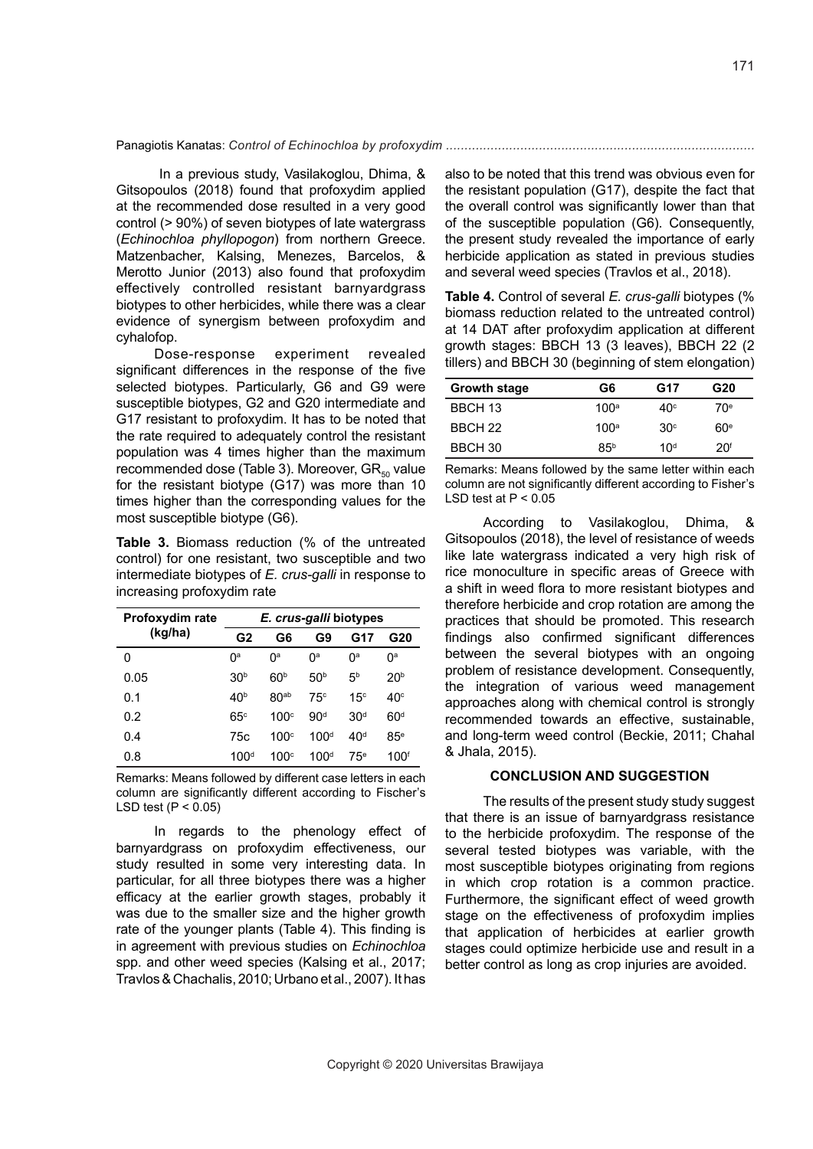In a previous study, Vasilakoglou, Dhima, & Gitsopoulos (2018) found that profoxydim applied at the recommended dose resulted in a very good control (> 90%) of seven biotypes of late watergrass (*Echinochloa phyllopogon*) from northern Greece. Matzenbacher, Kalsing, Menezes, Barcelos, & Merotto Junior (2013) also found that profoxydim effectively controlled resistant barnyardgrass biotypes to other herbicides, while there was a clear evidence of synergism between profoxydim and cyhalofop.

Dose-response experiment revealed significant differences in the response of the five selected biotypes. Particularly, G6 and G9 were susceptible biotypes, G2 and G20 intermediate and G17 resistant to profoxydim. It has to be noted that the rate required to adequately control the resistant population was 4 times higher than the maximum recommended dose (Table 3). Moreover,  $GR_{50}$  value for the resistant biotype (G17) was more than 10 times higher than the corresponding values for the most susceptible biotype (G6).

**Table 3.** Biomass reduction (% of the untreated control) for one resistant, two susceptible and two intermediate biotypes of *E. crus-galli* in response to increasing profoxydim rate

| Profoxydim rate | <i>E. crus-galli</i> biotypes |                  |                  |                 |                  |
|-----------------|-------------------------------|------------------|------------------|-----------------|------------------|
| (kg/ha)         | G2<br>G6                      | G9               | G17              | G20             |                  |
| 0               | 0 <sup>a</sup>                | 0 <sup>a</sup>   | 0 <sup>a</sup>   | O <sup>a</sup>  | Ŋа               |
| 0.05            | 30 <sup>b</sup>               | 60 <sup>b</sup>  | 50 <sup>b</sup>  | 5 <sup>b</sup>  | 20 <sup>b</sup>  |
| 0.1             | 40 <sup>b</sup>               | 80 <sub>ab</sub> | 75c              | 15 <sup>c</sup> | $40^\circ$       |
| 0.2             | $65^\circ$                    | 100c             | 90 <sup>d</sup>  | 30 <sup>d</sup> | 60 <sup>d</sup>  |
| 0.4             | 75c                           | 100c             | 100 <sup>d</sup> | 40 <sup>d</sup> | $85^{\circ}$     |
| 0.8             | 100 <sup>d</sup>              | 100c             | 100 <sup>d</sup> | 75 <sup>e</sup> | 100 <sup>f</sup> |

Remarks: Means followed by different case letters in each column are significantly different according to Fischer's LSD test  $(P < 0.05)$ 

In regards to the phenology effect of barnyardgrass on profoxydim effectiveness, our study resulted in some very interesting data. In particular, for all three biotypes there was a higher efficacy at the earlier growth stages, probably it was due to the smaller size and the higher growth rate of the younger plants (Table 4). This finding is in agreement with previous studies on *Echinochloa*  spp. and other weed species (Kalsing et al., 2017; Travlos & Chachalis, 2010; Urbano et al., 2007). It has also to be noted that this trend was obvious even for the resistant population (G17), despite the fact that the overall control was significantly lower than that of the susceptible population (G6). Consequently, the present study revealed the importance of early herbicide application as stated in previous studies and several weed species (Travlos et al., 2018).

**Table 4.** Control of several *E. crus-galli* biotypes (% biomass reduction related to the untreated control) at 14 DAT after profoxydim application at different growth stages: BBCH 13 (3 leaves), BBCH 22 (2 tillers) and BBCH 30 (beginning of stem elongation)

| Growth stage | G6               | G17             | G20             |
|--------------|------------------|-----------------|-----------------|
| BBCH 13      | 100 <sup>a</sup> | $40^\circ$      | 70 <sup>e</sup> |
| BBCH 22      | 100 <sup>a</sup> | 30 <sup>c</sup> | 60 <sup>e</sup> |
| BBCH 30      | 85 <sup>b</sup>  | 10 <sup>d</sup> | 20 <sup>f</sup> |

Remarks: Means followed by the same letter within each column are not significantly different according to Fisher's LSD test at  $P < 0.05$ 

According to Vasilakoglou, Dhima, & Gitsopoulos (2018), the level of resistance of weeds like late watergrass indicated a very high risk of rice monoculture in specific areas of Greece with a shift in weed flora to more resistant biotypes and therefore herbicide and crop rotation are among the practices that should be promoted. This research findings also confirmed significant differences between the several biotypes with an ongoing problem of resistance development. Consequently, the integration of various weed management approaches along with chemical control is strongly recommended towards an effective, sustainable, and long-term weed control (Beckie, 2011; Chahal & Jhala, 2015).

#### **CONCLUSION AND SUGGESTION**

The results of the present study study suggest that there is an issue of barnyardgrass resistance to the herbicide profoxydim. The response of the several tested biotypes was variable, with the most susceptible biotypes originating from regions in which crop rotation is a common practice. Furthermore, the significant effect of weed growth stage on the effectiveness of profoxydim implies that application of herbicides at earlier growth stages could optimize herbicide use and result in a better control as long as crop injuries are avoided.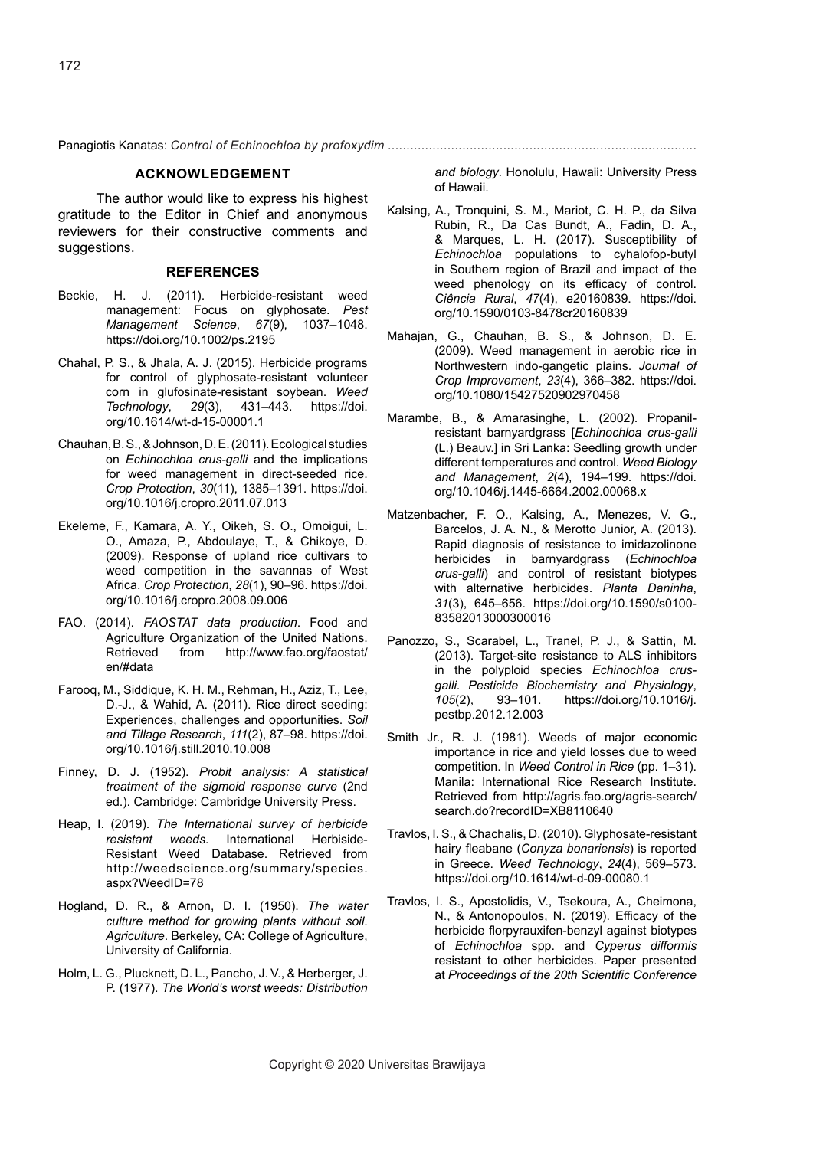Panagiotis Kanatas: *Control of Echinochloa by profoxydim ...................................................................................* 

# **ACKNOWLEDGEMENT**

The author would like to express his highest gratitude to the Editor in Chief and anonymous reviewers for their constructive comments and suggestions.

## **REFERENCES**

- Beckie, H. J. (2011). Herbicide-resistant weed management: Focus on glyphosate. *Pest Management Science*, *67*(9), 1037–1048. https://doi.org/10.1002/ps.2195
- Chahal, P. S., & Jhala, A. J. (2015). Herbicide programs for control of glyphosate-resistant volunteer corn in glufosinate-resistant soybean. *Weed Technology*, *29*(3), 431–443. https://doi. org/10.1614/wt-d-15-00001.1
- Chauhan, B. S., & Johnson, D. E. (2011). Ecological studies on *Echinochloa crus-galli* and the implications for weed management in direct-seeded rice. *Crop Protection*, *30*(11), 1385–1391. https://doi. org/10.1016/j.cropro.2011.07.013
- Ekeleme, F., Kamara, A. Y., Oikeh, S. O., Omoigui, L. O., Amaza, P., Abdoulaye, T., & Chikoye, D. (2009). Response of upland rice cultivars to weed competition in the savannas of West Africa. *Crop Protection*, *28*(1), 90–96. https://doi. org/10.1016/j.cropro.2008.09.006
- FAO. (2014). *FAOSTAT data production*. Food and Agriculture Organization of the United Nations.<br>Retrieved from http://www.fao.org/faostat/ from http://www.fao.org/faostat/ en/#data
- Farooq, M., Siddique, K. H. M., Rehman, H., Aziz, T., Lee, D.-J., & Wahid, A. (2011). Rice direct seeding: Experiences, challenges and opportunities. *Soil and Tillage Research*, *111*(2), 87–98. https://doi. org/10.1016/j.still.2010.10.008
- Finney, D. J. (1952). *Probit analysis: A statistical treatment of the sigmoid response curve* (2nd ed.). Cambridge: Cambridge University Press.
- Heap, I. (2019). *The International survey of herbicide resistant weeds*. International Herbiside-Resistant Weed Database. Retrieved from http://weedscience.org/summary/species. aspx?WeedID=78
- Hogland, D. R., & Arnon, D. I. (1950). *The water culture method for growing plants without soil*. *Agriculture*. Berkeley, CA: College of Agriculture, University of California.
- Holm, L. G., Plucknett, D. L., Pancho, J. V., & Herberger, J. P. (1977). *The World's worst weeds: Distribution*

*and biology*. Honolulu, Hawaii: University Press of Hawaii.

- Kalsing, A., Tronquini, S. M., Mariot, C. H. P., da Silva Rubin, R., Da Cas Bundt, A., Fadin, D. A., & Marques, L. H. (2017). Susceptibility of *Echinochloa* populations to cyhalofop-butyl in Southern region of Brazil and impact of the weed phenology on its efficacy of control. *Ciência Rural*, *47*(4), e20160839. https://doi. org/10.1590/0103-8478cr20160839
- Mahajan, G., Chauhan, B. S., & Johnson, D. E. (2009). Weed management in aerobic rice in Northwestern indo-gangetic plains. *Journal of Crop Improvement*, *23*(4), 366–382. https://doi. org/10.1080/15427520902970458
- Marambe, B., & Amarasinghe, L. (2002). Propanilresistant barnyardgrass [*Echinochloa crus-galli* (L.) Beauv.] in Sri Lanka: Seedling growth under different temperatures and control. *Weed Biology and Management*, *2*(4), 194–199. https://doi. org/10.1046/j.1445-6664.2002.00068.x
- Matzenbacher, F. O., Kalsing, A., Menezes, V. G., Barcelos, J. A. N., & Merotto Junior, A. (2013). Rapid diagnosis of resistance to imidazolinone herbicides in barnyardgrass (*Echinochloa crus-galli*) and control of resistant biotypes with alternative herbicides. *Planta Daninha*, *31*(3), 645–656. https://doi.org/10.1590/s0100- 83582013000300016
- Panozzo, S., Scarabel, L., Tranel, P. J., & Sattin, M. (2013). Target-site resistance to ALS inhibitors in the polyploid species *Echinochloa crusgalli*. *Pesticide Biochemistry and Physiology*, *105*(2), 93–101. https://doi.org/10.1016/j. pestbp.2012.12.003
- Smith Jr., R. J. (1981). Weeds of major economic importance in rice and yield losses due to weed competition. In *Weed Control in Rice* (pp. 1–31). Manila: International Rice Research Institute. Retrieved from http://agris.fao.org/agris-search/ search.do?recordID=XB8110640
- Travlos, I. S., & Chachalis, D. (2010). Glyphosate-resistant hairy fleabane (*Conyza bonariensis*) is reported in Greece. *Weed Technology*, *24*(4), 569–573. https://doi.org/10.1614/wt-d-09-00080.1
- Travlos, I. S., Apostolidis, V., Tsekoura, A., Cheimona, N., & Antonopoulos, N. (2019). Efficacy of the herbicide florpyrauxifen-benzyl against biotypes of *Echinochloa* spp. and *Cyperus difformis* resistant to other herbicides. Paper presented at *Proceedings of the 20th Scientific Conference*